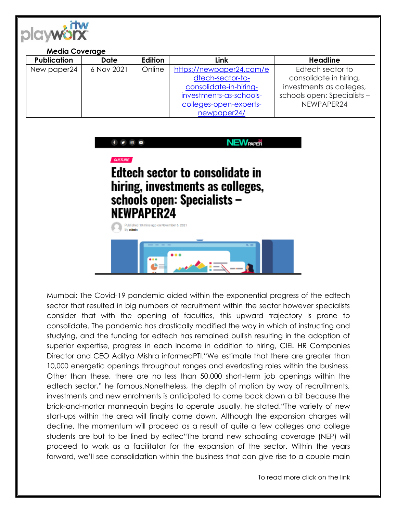

| <b>Media Coverage</b> |             |         |                          |                             |
|-----------------------|-------------|---------|--------------------------|-----------------------------|
| <b>Publication</b>    | <b>Date</b> | Edition | Link                     | <b>Headline</b>             |
| New paper24           | 6 Nov 2021  | Online  | https://newpaper24.com/e | Edtech sector to            |
|                       |             |         | dtech-sector-to-         | consolidate in hiring,      |
|                       |             |         | consolidate-in-hiring-   | investments as colleges,    |
|                       |             |         | investments-as-schools-  | schools open: Specialists - |
|                       |             |         | colleges-open-experts-   | NEWPAPER24                  |
|                       |             |         | newpaper24/              |                             |



Mumbai: The Covid-19 pandemic aided within the exponential progress of the edtech sector that resulted in big numbers of recruitment within the sector however specialists consider that with the opening of faculties, this upward trajectory is prone to consolidate. The pandemic has drastically modified the way in which of instructing and studying, and the funding for edtech has remained bullish resulting in the adoption of superior expertise, progress in each income in addition to hiring, CIEL HR Companies Director and CEO Aditya Mishra informedPTI."We estimate that there are greater than 10,000 energetic openings throughout ranges and everlasting roles within the business. Other than these, there are no less than 50,000 short-term job openings within the edtech sector," he famous.Nonetheless, the depth of motion by way of recruitments, investments and new enrolments is anticipated to come back down a bit because the brick-and-mortar mannequin begins to operate usually, he stated."The variety of new start-ups within the area will finally come down. Although the expansion charges will decline, the momentum will proceed as a result of quite a few colleges and college students are but to be lined by edtec"The brand new schooling coverage (NEP) will proceed to work as a facilitator for the expansion of the sector. Within the years forward, we'll see consolidation within the business that can give rise to a couple main

To read more click on the link